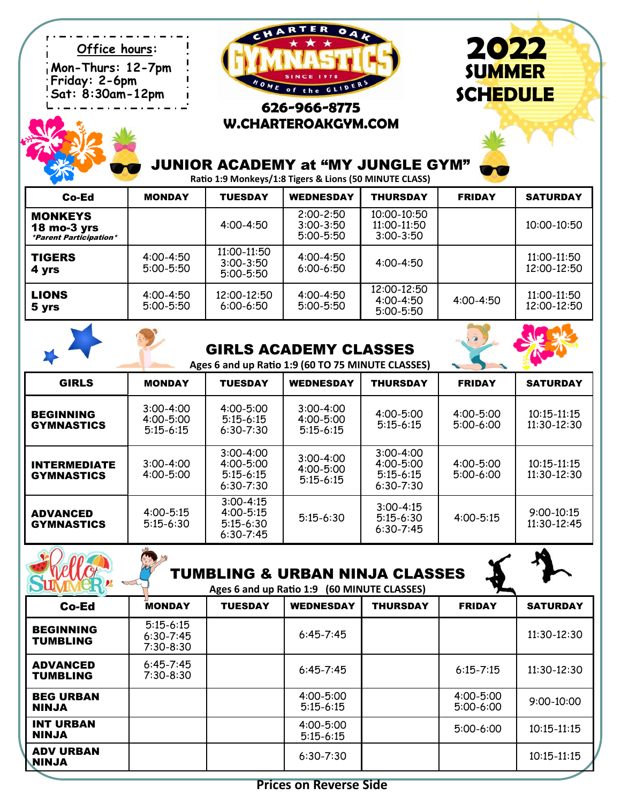**Mon-Thurs: 12-7pm Friday: 2-6pm Sat: 8:30am-12pm**



# **626-966-8775 W.CHARTEROAKGYM.COM**



# JUNIOR ACADEMY at "MY JUNGLE GYM"

**Ratio 1:9 Monkeys/1:8 Tigers & Lions (50 MINUTE CLASS)**

| Co-Ed                                                                   | <b>MONDAY</b>                  | <b>TUESDAY</b>                                | <b>WEDNESDAY</b>                                | <b>THURSDAY</b>                               | <b>FRIDAY</b> | <b>SATURDAY</b>            |
|-------------------------------------------------------------------------|--------------------------------|-----------------------------------------------|-------------------------------------------------|-----------------------------------------------|---------------|----------------------------|
| <b>MONKEYS</b><br>$18$ mo-3 yrs<br><i><b>*Parent Participation*</b></i> |                                | $4:00 - 4:50$                                 | $2:00 - 2:50$<br>$3:00 - 3:50$<br>$5:00 - 5:50$ | 10:00-10:50<br>11:00-11:50<br>$3:00 - 3:50$   |               | 10:00-10:50                |
| <b>TIGERS</b><br>4 yrs                                                  | $4:00 - 4:50$<br>$5:00 - 5:50$ | 11:00-11:50<br>$3:00 - 3:50$<br>$5:00 - 5:50$ | $4:00 - 4:50$<br>$6:00 - 6:50$                  | $4:00 - 4:50$                                 |               | 11:00-11:50<br>12:00-12:50 |
| <b>LIONS</b><br>5 yrs                                                   | $4:00 - 4:50$<br>$5:00 - 5:50$ | 12:00-12:50<br>$6:00 - 6:50$                  | $4:00 - 4:50$<br>$5:00 - 5:50$                  | 12:00-12:50<br>$4:00 - 4:50$<br>$5:00 - 5:50$ | $4:00 - 4:50$ | 11:00-11:50<br>12:00-12:50 |

| <b>GIRLS ACADEMY CLASSES</b> |  |
|------------------------------|--|
|------------------------------|--|

**Ages 6 and up Ratio 1:9 (60 TO 75 MINUTE CLASSES)**

| <b>GIRLS</b>                             | <b>MONDAY</b>                                   | <b>TUESDAY</b>                                                   | <b>WEDNESDAY</b>                                | THURSDAY                                                       | <b>FRIDAY</b>                | <b>SATURDAY</b>                |
|------------------------------------------|-------------------------------------------------|------------------------------------------------------------------|-------------------------------------------------|----------------------------------------------------------------|------------------------------|--------------------------------|
| <b>BEGINNING</b><br><b>GYMNASTICS</b>    | $3:00 - 4:00$<br>$4:00 - 5:00$<br>$5:15 - 6:15$ | $4:00 - 5:00$<br>$5:15 - 6:15$<br>$6:30 - 7:30$                  | $3:00 - 4:00$<br>$4:00 - 5:00$<br>$5:15-6:15$   | $4:00 - 5:00$<br>$5:15 - 6:15$                                 | $4:00 - 5:00$<br>$5:00-6:00$ | $10:15 - 11:15$<br>11:30-12:30 |
| <b>INTERMEDIATE</b><br><b>GYMNASTICS</b> | $3:00 - 4:00$<br>$4:00 - 5:00$                  | $3:00 - 4:00$<br>$4:00 - 5:00$<br>$5:15 - 6:15$<br>$6:30 - 7:30$ | $3:00 - 4:00$<br>$4:00 - 5:00$<br>$5:15 - 6:15$ | $3:00 - 4:00$<br>$4:00 - 5:00$<br>$5:15-6:15$<br>$6:30 - 7:30$ | $4:00 - 5:00$<br>$5:00-6:00$ | 10:15-11:15<br>11:30-12:30     |
| <b>ADVANCED</b><br><b>GYMNASTICS</b>     | $4:00 - 5:15$<br>$5:15 - 6:30$                  | $3:00 - 4:15$<br>$4:00 - 5:15$<br>$5:15-6:30$<br>$6:30 - 7:45$   | $5:15-6:30$                                     | $3:00 - 4:15$<br>$5:15-6:30$<br>$6:30 - 7:45$                  | $4:00 - 5:15$                | $9:00 - 10:15$<br>11:30-12:45  |

|                                     |                                               |                | <b>TUMBLING &amp; URBAN NINJA CLASSES</b><br>Ages 6 and up Ratio 1:9 (60 MINUTE CLASSES) |                 |                          |                 |
|-------------------------------------|-----------------------------------------------|----------------|------------------------------------------------------------------------------------------|-----------------|--------------------------|-----------------|
| Co-Ed                               | <b>MONDAY</b>                                 | <b>TUESDAY</b> | <b>WEDNESDAY</b>                                                                         | <b>THURSDAY</b> | <b>FRIDAY</b>            | <b>SATURDAY</b> |
| <b>BEGINNING</b><br><b>TUMBLING</b> | $5:15 - 6:15$<br>$6:30 - 7:45$<br>$7:30-8:30$ |                | $6:45 - 7:45$                                                                            |                 |                          | $11:30-12:30$   |
| <b>ADVANCED</b><br><b>TUMBLING</b>  | $6:45 - 7:45$<br>7:30-8:30                    |                | $6:45 - 7:45$                                                                            |                 | $6:15 - 7:15$            | $11:30-12:30$   |
| <b>BEG URBAN</b><br><b>NINJA</b>    |                                               |                | 4:00-5:00<br>$5:15 - 6:15$                                                               |                 | 4:00-5:00<br>$5:00-6:00$ | 9:00-10:00      |
| <b>INT URBAN</b><br><b>NINJA</b>    |                                               |                | 4:00-5:00<br>$5:15 - 6:15$                                                               |                 | $5:00-6:00$              | $10:15 - 11:15$ |
| <b>ADV URBAN</b><br><b>ALNIN</b>    |                                               |                | $6:30 - 7:30$                                                                            |                 |                          | 10:15-11:15     |